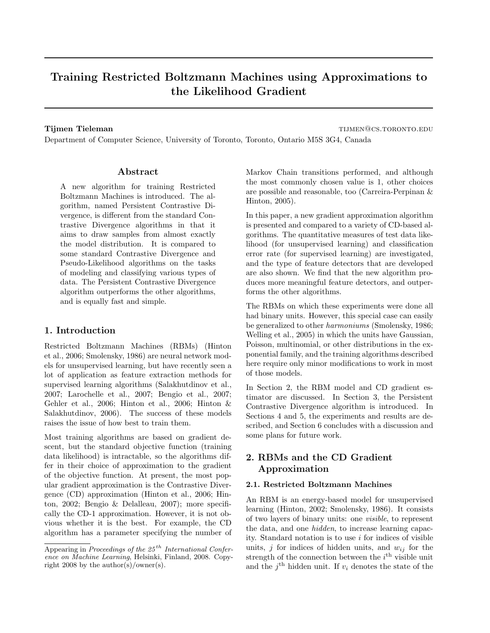# Training Restricted Boltzmann Machines using Approximations to the Likelihood Gradient

Tijmen Tieleman tijden ook de eerste koning van de eerste koning van de gebou van de gebou van de gebou van de

Department of Computer Science, University of Toronto, Toronto, Ontario M5S 3G4, Canada

## Abstract

A new algorithm for training Restricted Boltzmann Machines is introduced. The algorithm, named Persistent Contrastive Divergence, is different from the standard Contrastive Divergence algorithms in that it aims to draw samples from almost exactly the model distribution. It is compared to some standard Contrastive Divergence and Pseudo-Likelihood algorithms on the tasks of modeling and classifying various types of data. The Persistent Contrastive Divergence algorithm outperforms the other algorithms, and is equally fast and simple.

# 1. Introduction

Restricted Boltzmann Machines (RBMs) (Hinton et al., 2006; Smolensky, 1986) are neural network models for unsupervised learning, but have recently seen a lot of application as feature extraction methods for supervised learning algorithms (Salakhutdinov et al., 2007; Larochelle et al., 2007; Bengio et al., 2007; Gehler et al., 2006; Hinton et al., 2006; Hinton & Salakhutdinov, 2006). The success of these models raises the issue of how best to train them.

Most training algorithms are based on gradient descent, but the standard objective function (training data likelihood) is intractable, so the algorithms differ in their choice of approximation to the gradient of the objective function. At present, the most popular gradient approximation is the Contrastive Divergence (CD) approximation (Hinton et al., 2006; Hinton, 2002; Bengio & Delalleau, 2007); more specifically the CD-1 approximation. However, it is not obvious whether it is the best. For example, the CD algorithm has a parameter specifying the number of Markov Chain transitions performed, and although the most commonly chosen value is 1, other choices are possible and reasonable, too (Carreira-Perpinan & Hinton, 2005).

In this paper, a new gradient approximation algorithm is presented and compared to a variety of CD-based algorithms. The quantitative measures of test data likelihood (for unsupervised learning) and classification error rate (for supervised learning) are investigated, and the type of feature detectors that are developed are also shown. We find that the new algorithm produces more meaningful feature detectors, and outperforms the other algorithms.

The RBMs on which these experiments were done all had binary units. However, this special case can easily be generalized to other harmoniums (Smolensky, 1986; Welling et al., 2005) in which the units have Gaussian, Poisson, multinomial, or other distributions in the exponential family, and the training algorithms described here require only minor modifications to work in most of those models.

In Section 2, the RBM model and CD gradient estimator are discussed. In Section 3, the Persistent Contrastive Divergence algorithm is introduced. In Sections 4 and 5, the experiments and results are described, and Section 6 concludes with a discussion and some plans for future work.

# 2. RBMs and the CD Gradient Approximation

#### 2.1. Restricted Boltzmann Machines

An RBM is an energy-based model for unsupervised learning (Hinton, 2002; Smolensky, 1986). It consists of two layers of binary units: one visible, to represent the data, and one hidden, to increase learning capacity. Standard notation is to use  $i$  for indices of visible units, j for indices of hidden units, and  $w_{ij}$  for the strength of the connection between the  $i<sup>th</sup>$  visible unit and the  $j<sup>th</sup>$  hidden unit. If  $v<sub>i</sub>$  denotes the state of the

Appearing in Proceedings of the  $25<sup>th</sup>$  International Conference on Machine Learning, Helsinki, Finland, 2008. Copyright 2008 by the author(s)/owner(s).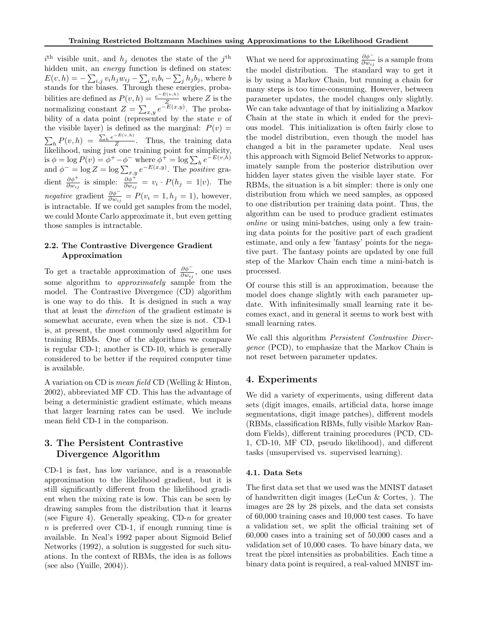$i^{\text{th}}$  visible unit, and  $h_j$  denotes the state of the  $j^{\text{th}}$ hidden unit, an energy function is defined on states:  $E(v, h) = -\sum_{i,j} v_i h_j w_{ij} - \sum_i v_i b_i - \sum_j h_j b_j$ , where  $b$ stands for the biases. Through these energies, probabilities are defined as  $P(v, h) = \frac{e^{-E(v, h)}}{Z}$  where Z is the normalizing constant  $Z = \sum_{x,y} e^{-E(x,y)}$ . The probability of a data point (represented by the state  $v$  of the visible layer) is defined as the marginal:  $P(v) =$  $\sum_h P(v, h) = \frac{\sum_h e^{-E(v, h)}}{Z}$  $\overline{z}$ . Thus, the training data likelihood, using just one training point for simplicity, is  $\phi = \log P(v) = \phi^+ - \phi^-$  where  $\phi^+ = \log \sum_h e^{-E(v,\tilde{h})}$ and  $\phi^{-} = \log Z = \log \sum_{x,y} e^{-E(x,y)}$ . The positive gradient  $\frac{\partial \phi^+}{\partial w_{ij}}$  is simple:  $\frac{\partial \phi^+}{\partial w_{ij}} = v_i \cdot P(h_j = 1|v)$ . The negative gradient  $\frac{\partial \phi^-}{\partial w_{ij}} = P(v_i = 1, h_j = 1)$ , however, is intractable. If we could get samples from the model, we could Monte Carlo approximate it, but even getting those samples is intractable.

## 2.2. The Contrastive Divergence Gradient Approximation

To get a tractable approximation of  $\frac{\partial \phi^-}{\partial w_{ij}}$ , one uses some algorithm to *approximately* sample from the model. The Contrastive Divergence (CD) algorithm is one way to do this. It is designed in such a way that at least the direction of the gradient estimate is somewhat accurate, even when the size is not. CD-1 is, at present, the most commonly used algorithm for training RBMs. One of the algorithms we compare is regular CD-1; another is CD-10, which is generally considered to be better if the required computer time is available.

A variation on CD is mean field CD (Welling & Hinton, 2002), abbreviated MF CD. This has the advantage of being a deterministic gradient estimate, which means that larger learning rates can be used. We include mean field CD-1 in the comparison.

# 3. The Persistent Contrastive Divergence Algorithm

CD-1 is fast, has low variance, and is a reasonable approximation to the likelihood gradient, but it is still significantly different from the likelihood gradient when the mixing rate is low. This can be seen by drawing samples from the distribution that it learns (see Figure 4). Generally speaking,  $CD-n$  for greater  $n$  is preferred over CD-1, if enough running time is available. In Neal's 1992 paper about Sigmoid Belief Networks (1992), a solution is suggested for such situations. In the context of RBMs, the idea is as follows (see also (Yuille, 2004)).

What we need for approximating  $\frac{\partial \phi^-}{\partial w_{ij}}$  is a sample from the model distribution. The standard way to get it is by using a Markov Chain, but running a chain for many steps is too time-consuming. However, between parameter updates, the model changes only slightly. We can take advantage of that by initializing a Markov Chain at the state in which it ended for the previous model. This initialization is often fairly close to the model distribution, even though the model has changed a bit in the parameter update. Neal uses this approach with Sigmoid Belief Networks to approximately sample from the posterior distribution over hidden layer states given the visible layer state. For RBMs, the situation is a bit simpler: there is only one distribution from which we need samples, as opposed to one distribution per training data point. Thus, the algorithm can be used to produce gradient estimates online or using mini-batches, using only a few training data points for the positive part of each gradient estimate, and only a few 'fantasy' points for the negative part. The fantasy points are updated by one full step of the Markov Chain each time a mini-batch is processed.

Of course this still is an approximation, because the model does change slightly with each parameter update. With infinitesimally small learning rate it becomes exact, and in general it seems to work best with small learning rates.

We call this algorithm *Persistent Contrastive Diver*gence (PCD), to emphasize that the Markov Chain is not reset between parameter updates.

#### 4. Experiments

We did a variety of experiments, using different data sets (digit images, emails, artificial data, horse image segmentations, digit image patches), different models (RBMs, classification RBMs, fully visible Markov Random Fields), different training procedures (PCD, CD-1, CD-10, MF CD, pseudo likelihood), and different tasks (unsupervised vs. supervised learning).

#### 4.1. Data Sets

The first data set that we used was the MNIST dataset of handwritten digit images (LeCun & Cortes, ). The images are 28 by 28 pixels, and the data set consists of 60,000 training cases and 10,000 test cases. To have a validation set, we split the official training set of 60,000 cases into a training set of 50,000 cases and a validation set of 10,000 cases. To have binary data, we treat the pixel intensities as probabilities. Each time a binary data point is required, a real-valued MNIST im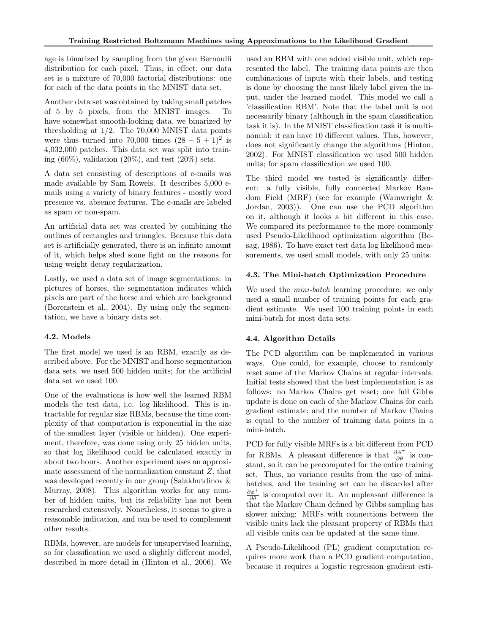age is binarized by sampling from the given Bernoulli distribution for each pixel. Thus, in effect, our data set is a mixture of 70,000 factorial distributions: one for each of the data points in the MNIST data set.

Another data set was obtained by taking small patches of 5 by 5 pixels, from the MNIST images. have somewhat smooth-looking data, we binarized by thresholding at  $1/2$ . The 70,000 MNIST data points were thus turned into 70,000 times  $(28 - 5 + 1)^2$  is 4,032,000 patches. This data set was split into training  $(60\%)$ , validation  $(20\%)$ , and test  $(20\%)$  sets.

A data set consisting of descriptions of e-mails was made available by Sam Roweis. It describes 5,000 emails using a variety of binary features - mostly word presence vs. absence features. The e-mails are labeled as spam or non-spam.

An artificial data set was created by combining the outlines of rectangles and triangles. Because this data set is artificially generated, there is an infinite amount of it, which helps shed some light on the reasons for using weight decay regularization.

Lastly, we used a data set of image segmentations: in pictures of horses, the segmentation indicates which pixels are part of the horse and which are background (Borenstein et al., 2004). By using only the segmentation, we have a binary data set.

# 4.2. Models

The first model we used is an RBM, exactly as described above. For the MNIST and horse segmentation data sets, we used 500 hidden units; for the artificial data set we used 100.

One of the evaluations is how well the learned RBM models the test data, i.e. log likelihood. This is intractable for regular size RBMs, because the time complexity of that computation is exponential in the size of the smallest layer (visible or hidden). One experiment, therefore, was done using only 25 hidden units, so that log likelihood could be calculated exactly in about two hours. Another experiment uses an approximate assessment of the normalization constant  $Z$ , that was developed recently in our group (Salakhutdinov & Murray, 2008). This algorithm works for any number of hidden units, but its reliability has not been researched extensively. Nonetheless, it seems to give a reasonable indication, and can be used to complement other results.

RBMs, however, are models for unsupervised learning, so for classification we used a slightly different model, described in more detail in (Hinton et al., 2006). We

used an RBM with one added visible unit, which represented the label. The training data points are then combinations of inputs with their labels, and testing is done by choosing the most likely label given the input, under the learned model. This model we call a 'classification RBM'. Note that the label unit is not necessarily binary (although in the spam classification task it is). In the MNIST classification task it is multinomial: it can have 10 different values. This, however, does not significantly change the algorithms (Hinton, 2002). For MNIST classification we used 500 hidden units; for spam classification we used 100.

The third model we tested is significantly different: a fully visible, fully connected Markov Random Field (MRF) (see for example (Wainwright & Jordan, 2003)). One can use the PCD algorithm on it, although it looks a bit different in this case. We compared its performance to the more commonly used Pseudo-Likelihood optimization algorithm (Besag, 1986). To have exact test data log likelihood measurements, we used small models, with only 25 units.

# 4.3. The Mini-batch Optimization Procedure

We used the *mini-batch* learning procedure: we only used a small number of training points for each gradient estimate. We used 100 training points in each mini-batch for most data sets.

# 4.4. Algorithm Details

The PCD algorithm can be implemented in various ways. One could, for example, choose to randomly reset some of the Markov Chains at regular intervals. Initial tests showed that the best implementation is as follows: no Markov Chains get reset; one full Gibbs update is done on each of the Markov Chains for each gradient estimate; and the number of Markov Chains is equal to the number of training data points in a mini-batch.

PCD for fully visible MRFs is a bit different from PCD for RBMs. A pleasant difference is that  $\frac{\partial \phi^+}{\partial \theta}$  is constant, so it can be precomputed for the entire training set. Thus, no variance results from the use of minibatches, and the training set can be discarded after  $\frac{\partial \phi^+}{\partial \theta}$  is computed over it. An unpleasant difference is that the Markov Chain defined by Gibbs sampling has slower mixing: MRFs with connections between the visible units lack the pleasant property of RBMs that all visible units can be updated at the same time.

A Pseudo-Likelihood (PL) gradient computation requires more work than a PCD gradient computation, because it requires a logistic regression gradient esti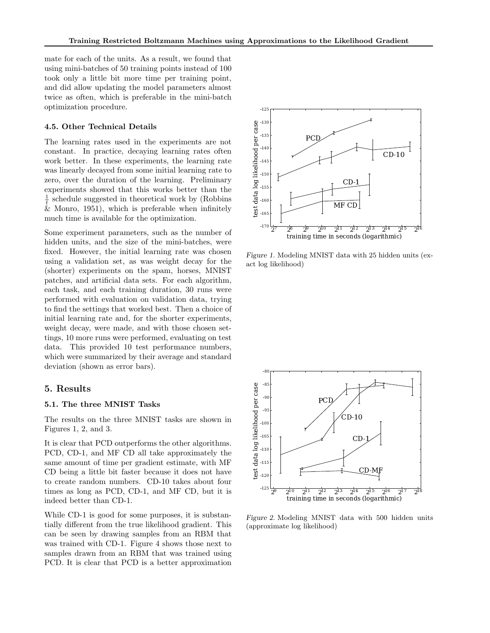mate for each of the units. As a result, we found that using mini-batches of 50 training points instead of 100 took only a little bit more time per training point, and did allow updating the model parameters almost twice as often, which is preferable in the mini-batch optimization procedure.

#### 4.5. Other Technical Details

The learning rates used in the experiments are not constant. In practice, decaying learning rates often work better. In these experiments, the learning rate was linearly decayed from some initial learning rate to zero, over the duration of the learning. Preliminary experiments showed that this works better than the  $\frac{1}{t}$  schedule suggested in theoretical work by (Robbins & Monro, 1951), which is preferable when infinitely much time is available for the optimization.

Some experiment parameters, such as the number of hidden units, and the size of the mini-batches, were fixed. However, the initial learning rate was chosen using a validation set, as was weight decay for the (shorter) experiments on the spam, horses, MNIST patches, and artificial data sets. For each algorithm, each task, and each training duration, 30 runs were performed with evaluation on validation data, trying to find the settings that worked best. Then a choice of initial learning rate and, for the shorter experiments, weight decay, were made, and with those chosen settings, 10 more runs were performed, evaluating on test data. This provided 10 test performance numbers, which were summarized by their average and standard deviation (shown as error bars).

## 5. Results

#### 5.1. The three MNIST Tasks

The results on the three MNIST tasks are shown in Figures 1, 2, and 3.

It is clear that PCD outperforms the other algorithms. PCD, CD-1, and MF CD all take approximately the same amount of time per gradient estimate, with MF CD being a little bit faster because it does not have to create random numbers. CD-10 takes about four times as long as PCD, CD-1, and MF CD, but it is indeed better than CD-1.

While CD-1 is good for some purposes, it is substantially different from the true likelihood gradient. This can be seen by drawing samples from an RBM that was trained with CD-1. Figure 4 shows those next to samples drawn from an RBM that was trained using PCD. It is clear that PCD is a better approximation



Figure 1. Modeling MNIST data with 25 hidden units (exact log likelihood)



Figure 2. Modeling MNIST data with 500 hidden units (approximate log likelihood)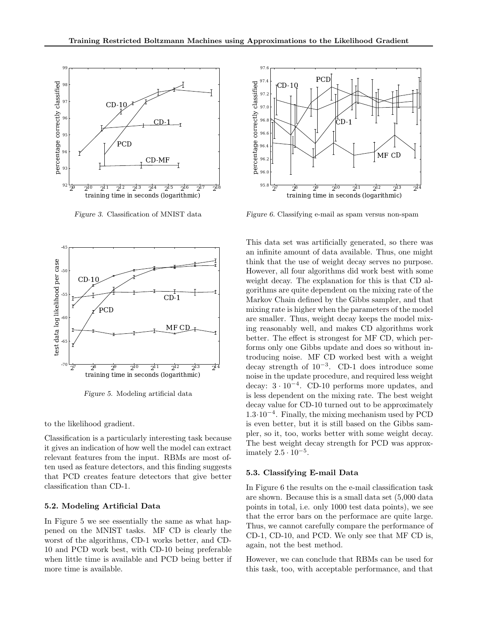

Figure 3. Classification of MNIST data



Figure 5. Modeling artificial data

to the likelihood gradient.

Classification is a particularly interesting task because it gives an indication of how well the model can extract relevant features from the input. RBMs are most often used as feature detectors, and this finding suggests that PCD creates feature detectors that give better classification than CD-1.

#### 5.2. Modeling Artificial Data

In Figure 5 we see essentially the same as what happened on the MNIST tasks. MF CD is clearly the worst of the algorithms, CD-1 works better, and CD-10 and PCD work best, with CD-10 being preferable when little time is available and PCD being better if more time is available.



Figure 6. Classifying e-mail as spam versus non-spam

This data set was artificially generated, so there was an infinite amount of data available. Thus, one might think that the use of weight decay serves no purpose. However, all four algorithms did work best with some weight decay. The explanation for this is that CD algorithms are quite dependent on the mixing rate of the Markov Chain defined by the Gibbs sampler, and that mixing rate is higher when the parameters of the model are smaller. Thus, weight decay keeps the model mixing reasonably well, and makes CD algorithms work better. The effect is strongest for MF CD, which performs only one Gibbs update and does so without introducing noise. MF CD worked best with a weight decay strength of 10<sup>−</sup><sup>3</sup> . CD-1 does introduce some noise in the update procedure, and required less weight decay: 3 · 10<sup>−</sup><sup>4</sup> . CD-10 performs more updates, and is less dependent on the mixing rate. The best weight decay value for CD-10 turned out to be approximately 1.3·10<sup>−</sup><sup>4</sup> . Finally, the mixing mechanism used by PCD is even better, but it is still based on the Gibbs sampler, so it, too, works better with some weight decay. The best weight decay strength for PCD was approximately  $2.5 \cdot 10^{-5}$ .

#### 5.3. Classifying E-mail Data

In Figure 6 the results on the e-mail classification task are shown. Because this is a small data set (5,000 data points in total, i.e. only 1000 test data points), we see that the error bars on the performace are quite large. Thus, we cannot carefully compare the performance of CD-1, CD-10, and PCD. We only see that MF CD is, again, not the best method.

However, we can conclude that RBMs can be used for this task, too, with acceptable performance, and that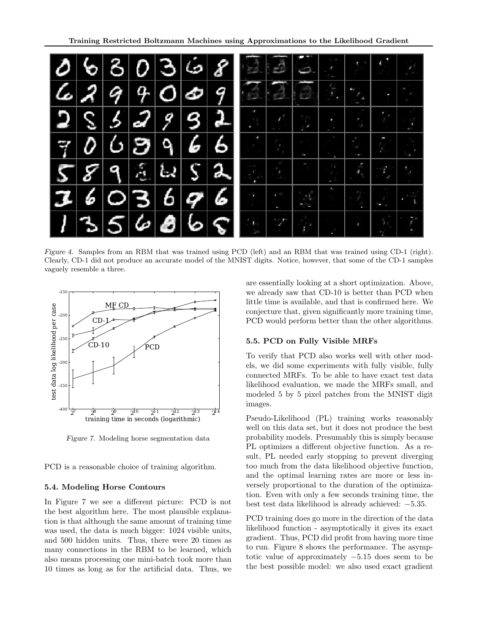

Figure 4. Samples from an RBM that was trained using PCD (left) and an RBM that was trained using CD-1 (right). Clearly, CD-1 did not produce an accurate model of the MNIST digits. Notice, however, that some of the CD-1 samples vaguely resemble a three.



Figure 7. Modeling horse segmentation data

PCD is a reasonable choice of training algorithm.

#### 5.4. Modeling Horse Contours

In Figure 7 we see a different picture: PCD is not the best algorithm here. The most plausible explanation is that although the same amount of training time was used, the data is much bigger: 1024 visible units, and 500 hidden units. Thus, there were 20 times as many connections in the RBM to be learned, which also means processing one mini-batch took more than 10 times as long as for the artificial data. Thus, we are essentially looking at a short optimization. Above, we already saw that CD-10 is better than PCD when little time is available, and that is confirmed here. We conjecture that, given significantly more training time, PCD would perform better than the other algorithms.

#### 5.5. PCD on Fully Visible MRFs

To verify that PCD also works well with other models, we did some experiments with fully visible, fully connected MRFs. To be able to have exact test data likelihood evaluation, we made the MRFs small, and modeled 5 by 5 pixel patches from the MNIST digit images.

Pseudo-Likelihood (PL) training works reasonably well on this data set, but it does not produce the best probability models. Presumably this is simply because PL optimizes a different objective function. As a result, PL needed early stopping to prevent diverging too much from the data likelihood objective function, and the optimal learning rates are more or less inversely proportional to the duration of the optimization. Even with only a few seconds training time, the best test data likelihood is already achieved: −5.35.

PCD training does go more in the direction of the data likelihood function - asymptotically it gives its exact gradient. Thus, PCD did profit from having more time to run. Figure 8 shows the performance. The asymptotic value of approximately −5.15 does seem to be the best possible model: we also used exact gradient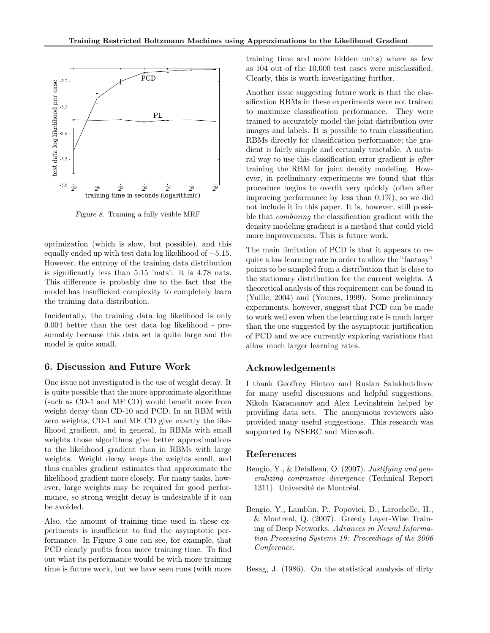

Figure 8. Training a fully visible MRF

optimization (which is slow, but possible), and this equally ended up with test data log likelihood of −5.15. However, the entropy of the training data distribution is significantly less than 5.15 'nats': it is 4.78 nats. This difference is probably due to the fact that the model has insufficient complexity to completely learn the training data distribution.

Incidentally, the training data log likelihood is only 0.004 better than the test data log likelihood - presumably because this data set is quite large and the model is quite small.

# 6. Discussion and Future Work

One issue not investigated is the use of weight decay. It is quite possible that the more approximate algorithms (such as CD-1 and MF CD) would benefit more from weight decay than CD-10 and PCD. In an RBM with zero weights, CD-1 and MF CD give exactly the likelihood gradient, and in general, in RBMs with small weights those algorithms give better approximations to the likelihood gradient than in RBMs with large weights. Weight decay keeps the weights small, and thus enables gradient estimates that approximate the likelihood gradient more closely. For many tasks, however, large weights may be required for good performance, so strong weight decay is undesirable if it can be avoided.

Also, the amount of training time used in these experiments is insufficient to find the asymptotic performance. In Figure 3 one can see, for example, that PCD clearly profits from more training time. To find out what its performance would be with more training time is future work, but we have seen runs (with more

training time and more hidden units) where as few as 104 out of the 10,000 test cases were misclassified. Clearly, this is worth investigating further.

Another issue suggesting future work is that the classification RBMs in these experiments were not trained to maximize classification performance. They were trained to accurately model the joint distribution over images and labels. It is possible to train classification RBMs directly for classification performance; the gradient is fairly simple and certainly tractable. A natural way to use this classification error gradient is after training the RBM for joint density modeling. However, in preliminary experiments we found that this procedure begins to overfit very quickly (often after improving performance by less than 0.1%), so we did not include it in this paper. It is, however, still possible that combining the classification gradient with the density modeling gradient is a method that could yield more improvements. This is future work.

The main limitation of PCD is that it appears to require a low learning rate in order to allow the "fantasy" points to be sampled from a distribution that is close to the stationary distribution for the current weights. A theoretical analysis of this requirement can be found in (Yuille, 2004) and (Younes, 1999). Some preliminary experiments, however, suggest that PCD can be made to work well even when the learning rate is much larger than the one suggested by the asymptotic justification of PCD and we are currently exploring variations that allow much larger learning rates.

# Acknowledgements

I thank Geoffrey Hinton and Ruslan Salakhutdinov for many useful discussions and helpful suggestions. Nikola Karamanov and Alex Levinshtein helped by providing data sets. The anonymous reviewers also provided many useful suggestions. This research was supported by NSERC and Microsoft.

#### References

- Bengio, Y., & Delalleau, O. (2007). Justifying and generalizing contrastive divergence (Technical Report 1311). Université de Montréal.
- Bengio, Y., Lamblin, P., Popovici, D., Larochelle, H., & Montreal, Q. (2007). Greedy Layer-Wise Training of Deep Networks. Advances in Neural Information Processing Systems 19: Proceedings of the 2006 Conference.

Besag, J. (1986). On the statistical analysis of dirty